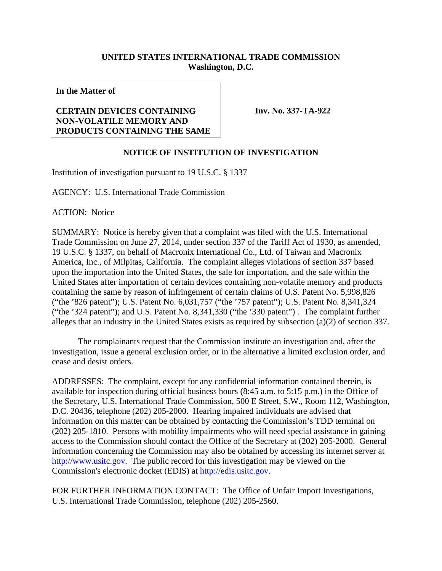## **UNITED STATES INTERNATIONAL TRADE COMMISSION Washington, D.C.**

**In the Matter of** 

## **CERTAIN DEVICES CONTAINING NON-VOLATILE MEMORY AND PRODUCTS CONTAINING THE SAME**

**Inv. No. 337-TA-922**

## **NOTICE OF INSTITUTION OF INVESTIGATION**

Institution of investigation pursuant to 19 U.S.C. § 1337

AGENCY: U.S. International Trade Commission

ACTION: Notice

SUMMARY: Notice is hereby given that a complaint was filed with the U.S. International Trade Commission on June 27, 2014, under section 337 of the Tariff Act of 1930, as amended, 19 U.S.C. § 1337, on behalf of Macronix International Co., Ltd. of Taiwan and Macronix America, Inc., of Milpitas, California. The complaint alleges violations of section 337 based upon the importation into the United States, the sale for importation, and the sale within the United States after importation of certain devices containing non-volatile memory and products containing the same by reason of infringement of certain claims of U.S. Patent No. 5,998,826 ("the '826 patent"); U.S. Patent No. 6,031,757 ("the '757 patent"); U.S. Patent No. 8,341,324 ("the '324 patent"); and U.S. Patent No. 8,341,330 ("the '330 patent") . The complaint further alleges that an industry in the United States exists as required by subsection (a)(2) of section 337.

 The complainants request that the Commission institute an investigation and, after the investigation, issue a general exclusion order, or in the alternative a limited exclusion order, and cease and desist orders.

ADDRESSES: The complaint, except for any confidential information contained therein, is available for inspection during official business hours (8:45 a.m. to 5:15 p.m.) in the Office of the Secretary, U.S. International Trade Commission, 500 E Street, S.W., Room 112, Washington, D.C. 20436, telephone (202) 205-2000. Hearing impaired individuals are advised that information on this matter can be obtained by contacting the Commission's TDD terminal on (202) 205-1810. Persons with mobility impairments who will need special assistance in gaining access to the Commission should contact the Office of the Secretary at (202) 205-2000. General information concerning the Commission may also be obtained by accessing its internet server at http://www.usitc.gov. The public record for this investigation may be viewed on the Commission's electronic docket (EDIS) at http://edis.usitc.gov.

FOR FURTHER INFORMATION CONTACT: The Office of Unfair Import Investigations, U.S. International Trade Commission, telephone (202) 205-2560.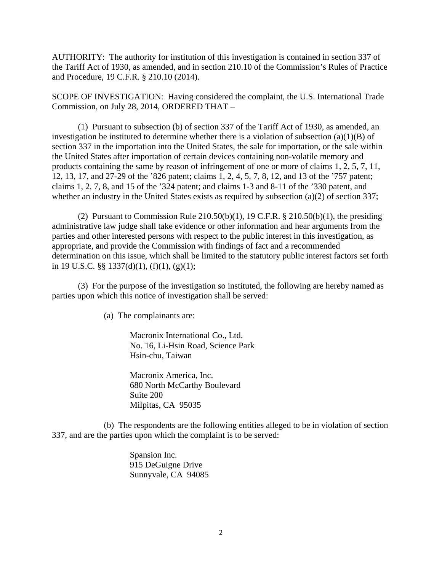AUTHORITY: The authority for institution of this investigation is contained in section 337 of the Tariff Act of 1930, as amended, and in section 210.10 of the Commission's Rules of Practice and Procedure, 19 C.F.R. § 210.10 (2014).

SCOPE OF INVESTIGATION: Having considered the complaint, the U.S. International Trade Commission, on July 28, 2014, ORDERED THAT –

 (1) Pursuant to subsection (b) of section 337 of the Tariff Act of 1930, as amended, an investigation be instituted to determine whether there is a violation of subsection (a)(1)(B) of section 337 in the importation into the United States, the sale for importation, or the sale within the United States after importation of certain devices containing non-volatile memory and products containing the same by reason of infringement of one or more of claims 1, 2, 5, 7, 11, 12, 13, 17, and 27-29 of the '826 patent; claims 1, 2, 4, 5, 7, 8, 12, and 13 of the '757 patent; claims 1, 2, 7, 8, and 15 of the '324 patent; and claims 1-3 and 8-11 of the '330 patent, and whether an industry in the United States exists as required by subsection (a)(2) of section 337;

(2) Pursuant to Commission Rule  $210.50(b)(1)$ , 19 C.F.R. §  $210.50(b)(1)$ , the presiding administrative law judge shall take evidence or other information and hear arguments from the parties and other interested persons with respect to the public interest in this investigation, as appropriate, and provide the Commission with findings of fact and a recommended determination on this issue, which shall be limited to the statutory public interest factors set forth in 19 U.S.C. §§ 1337(d)(1), (f)(1), (g)(1);

 (3) For the purpose of the investigation so instituted, the following are hereby named as parties upon which this notice of investigation shall be served:

(a) The complainants are:

Macronix International Co., Ltd. No. 16, Li-Hsin Road, Science Park Hsin-chu, Taiwan

Macronix America, Inc. 680 North McCarthy Boulevard Suite 200 Milpitas, CA 95035

 (b) The respondents are the following entities alleged to be in violation of section 337, and are the parties upon which the complaint is to be served:

> Spansion Inc. 915 DeGuigne Drive Sunnyvale, CA 94085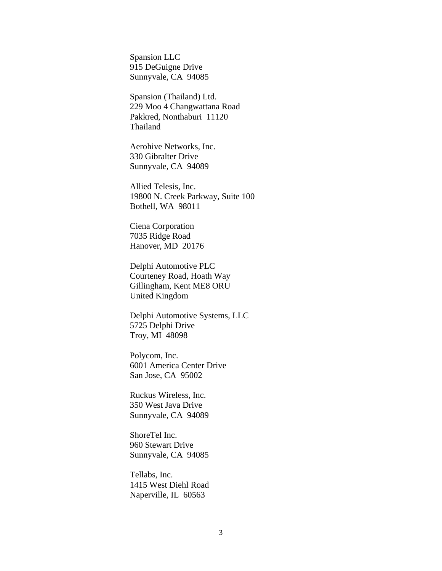Spansion LLC 915 DeGuigne Drive Sunnyvale, CA 94085

 Spansion (Thailand) Ltd. 229 Moo 4 Changwattana Road Pakkred, Nonthaburi 11120 Thailand

 Aerohive Networks, Inc. 330 Gibralter Drive Sunnyvale, CA 94089

 Allied Telesis, Inc. 19800 N. Creek Parkway, Suite 100 Bothell, WA 98011

 Ciena Corporation 7035 Ridge Road Hanover, MD 20176

 Delphi Automotive PLC Courteney Road, Hoath Way Gillingham, Kent ME8 ORU United Kingdom

 Delphi Automotive Systems, LLC 5725 Delphi Drive Troy, MI 48098

 Polycom, Inc. 6001 America Center Drive San Jose, CA 95002

 Ruckus Wireless, Inc. 350 West Java Drive Sunnyvale, CA 94089

 ShoreTel Inc. 960 Stewart Drive Sunnyvale, CA 94085

 Tellabs, Inc. 1415 West Diehl Road Naperville, IL 60563